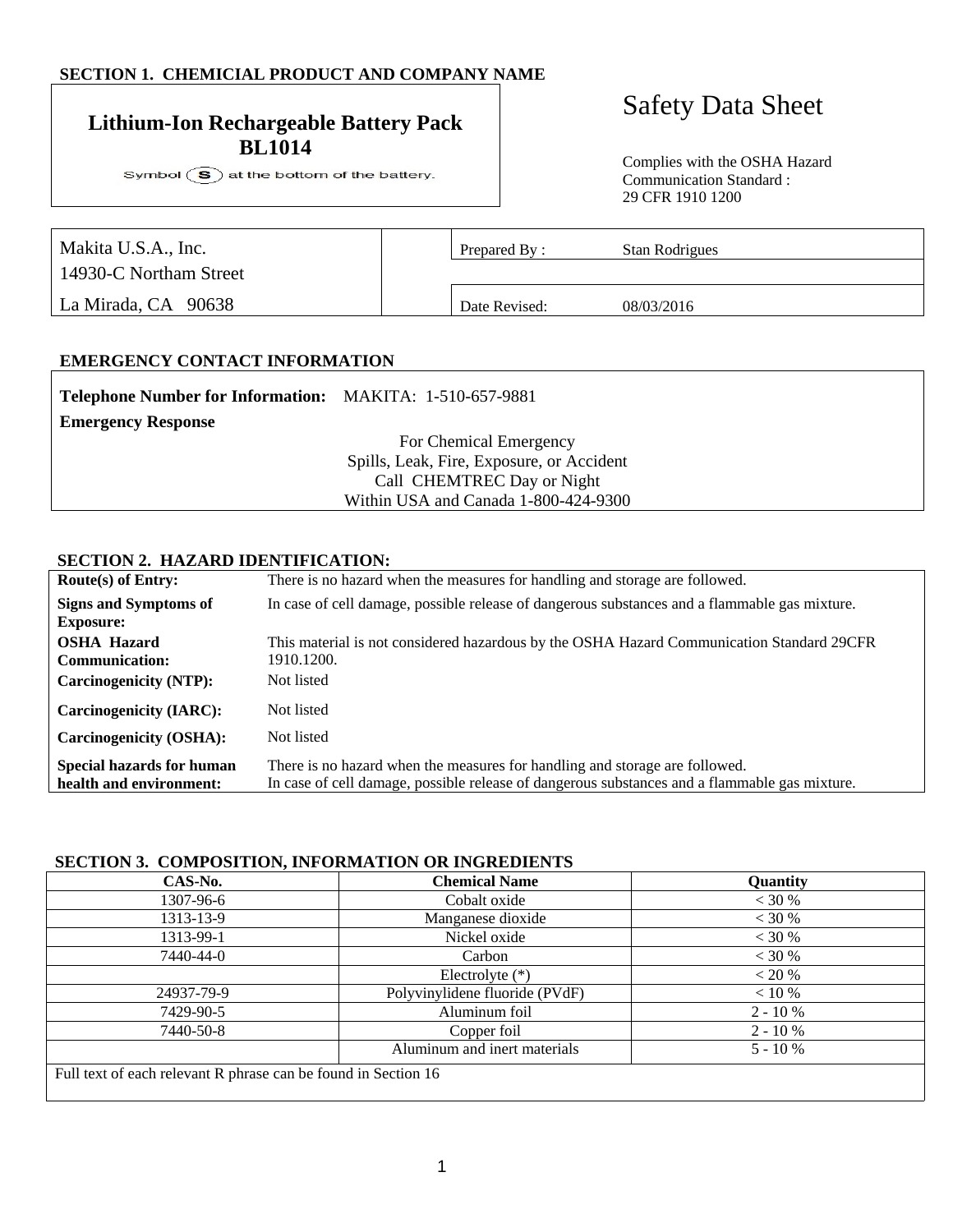# **SECTION 1. CHEMICIAL PRODUCT AND COMPANY NAME**

# Safety Data Sheet **Lithium-Ion Rechargeable Battery Pack BL1014**

Symbol  $\circled{S}$  at the bottom of the battery.

Complies with the OSHA Hazard Communication Standard : 29 CFR 1910 1200

| Makita U.S.A., Inc.    | Prepared By:  | Stan Rodrigues |
|------------------------|---------------|----------------|
| 14930-C Northam Street |               |                |
| La Mirada, CA 90638    | Date Revised: | 08/03/2016     |

#### **EMERGENCY CONTACT INFORMATION**

| Telephone Number for Information: MAKITA: 1-510-657-9881 |                                           |
|----------------------------------------------------------|-------------------------------------------|
| <b>Emergency Response</b>                                |                                           |
|                                                          | For Chemical Emergency                    |
|                                                          | Spills, Leak, Fire, Exposure, or Accident |
|                                                          | Call CHEMTREC Day or Night                |
|                                                          | Within USA and Canada 1-800-424-9300      |
|                                                          |                                           |

#### **SECTION 2. HAZARD IDENTIFICATION:**

| Route(s) of Entry:               | There is no hazard when the measures for handling and storage are followed.                   |
|----------------------------------|-----------------------------------------------------------------------------------------------|
| <b>Signs and Symptoms of</b>     | In case of cell damage, possible release of dangerous substances and a flammable gas mixture. |
| <b>Exposure:</b>                 |                                                                                               |
| <b>OSHA Hazard</b>               | This material is not considered hazardous by the OSHA Hazard Communication Standard 29CFR     |
| <b>Communication:</b>            | 1910.1200.                                                                                    |
| <b>Carcinogenicity (NTP):</b>    | Not listed                                                                                    |
| <b>Carcinogenicity (IARC):</b>   | Not listed                                                                                    |
| <b>Carcinogenicity (OSHA):</b>   | Not listed                                                                                    |
| <b>Special hazards for human</b> | There is no hazard when the measures for handling and storage are followed.                   |
| health and environment:          | In case of cell damage, possible release of dangerous substances and a flammable gas mixture. |

#### **SECTION 3. COMPOSITION, INFORMATION OR INGREDIENTS**

| CAS-No.                                                        | <b>Chemical Name</b>           | Quantity   |
|----------------------------------------------------------------|--------------------------------|------------|
| 1307-96-6                                                      | Cobalt oxide                   | $<$ 30 %   |
| 1313-13-9                                                      | Manganese dioxide              | < 30 %     |
| 1313-99-1                                                      | Nickel oxide                   | < 30 %     |
| 7440-44-0                                                      | Carbon                         | < 30 %     |
|                                                                | Electrolyte $(*)$              | $< 20 \%$  |
| 24937-79-9                                                     | Polyvinylidene fluoride (PVdF) | $< 10 \%$  |
| 7429-90-5                                                      | Aluminum foil                  | $2 - 10\%$ |
| 7440-50-8                                                      | Copper foil                    | $2 - 10\%$ |
|                                                                | Aluminum and inert materials   | $5 - 10\%$ |
| Full text of each relevant R phrase can be found in Section 16 |                                |            |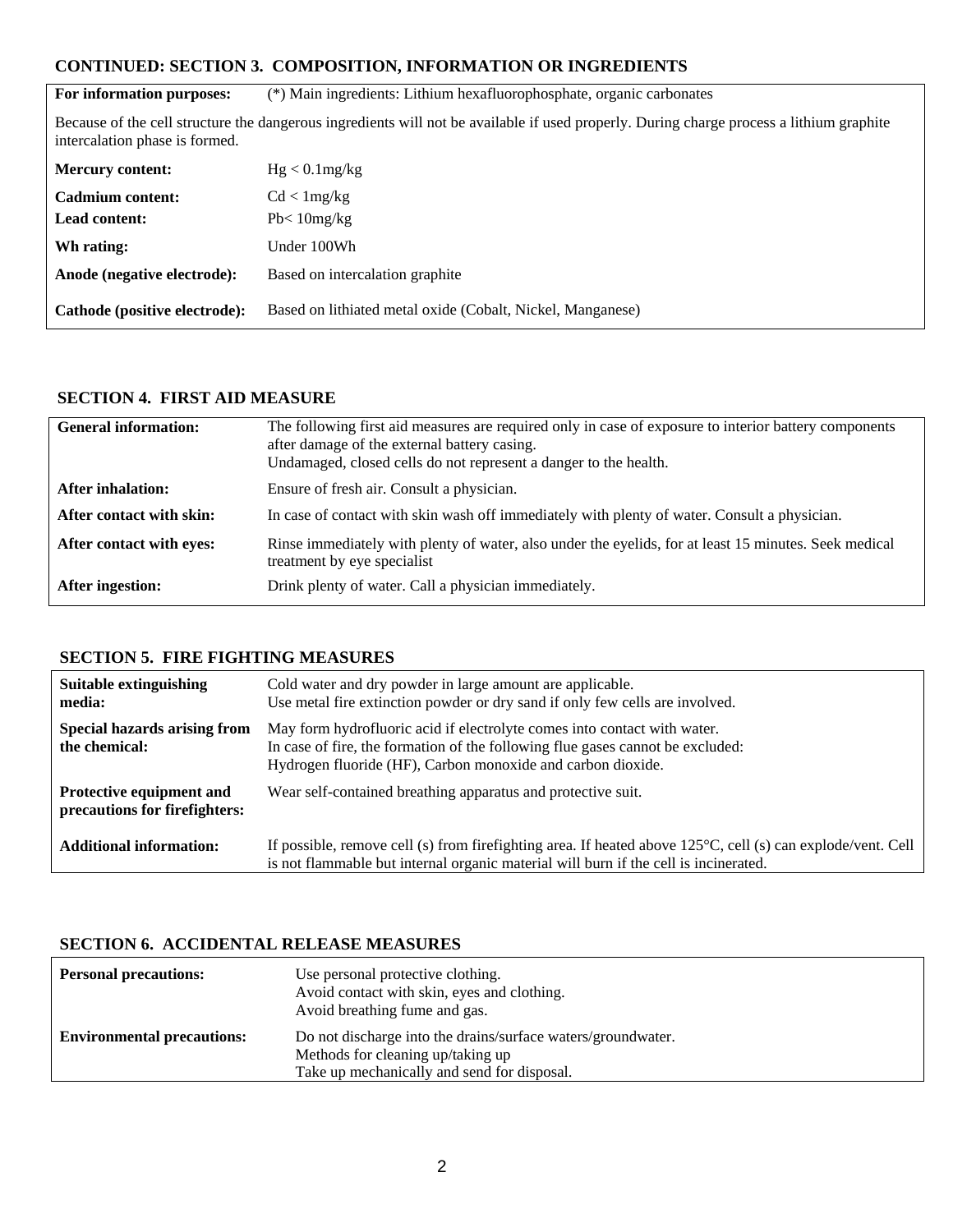# **CONTINUED: SECTION 3. COMPOSITION, INFORMATION OR INGREDIENTS**

| For information purposes:                                                                                                                                                  | (*) Main ingredients: Lithium hexafluorophosphate, organic carbonates |  |
|----------------------------------------------------------------------------------------------------------------------------------------------------------------------------|-----------------------------------------------------------------------|--|
| Because of the cell structure the dangerous ingredients will not be available if used properly. During charge process a lithium graphite<br>intercalation phase is formed. |                                                                       |  |
| <b>Mercury content:</b>                                                                                                                                                    | Hg < 0.1mg/kg                                                         |  |
| Cadmium content:                                                                                                                                                           | Cd < 1mg/kg                                                           |  |
| <b>Lead content:</b>                                                                                                                                                       | $Pb < 10$ mg/kg                                                       |  |
| Wh rating:                                                                                                                                                                 | Under 100Wh                                                           |  |
| Anode (negative electrode):                                                                                                                                                | Based on intercalation graphite                                       |  |
| Cathode (positive electrode):                                                                                                                                              | Based on lithiated metal oxide (Cobalt, Nickel, Manganese)            |  |

# **SECTION 4. FIRST AID MEASURE**

| <b>General information:</b> | The following first aid measures are required only in case of exposure to interior battery components<br>after damage of the external battery casing.<br>Undamaged, closed cells do not represent a danger to the health. |
|-----------------------------|---------------------------------------------------------------------------------------------------------------------------------------------------------------------------------------------------------------------------|
| <b>After inhalation:</b>    | Ensure of fresh air. Consult a physician.                                                                                                                                                                                 |
| After contact with skin:    | In case of contact with skin wash off immediately with plenty of water. Consult a physician.                                                                                                                              |
| After contact with eyes:    | Rinse immediately with plenty of water, also under the eyelids, for at least 15 minutes. Seek medical<br>treatment by eye specialist                                                                                      |
| After ingestion:            | Drink plenty of water. Call a physician immediately.                                                                                                                                                                      |

#### **SECTION 5. FIRE FIGHTING MEASURES**

| Suitable extinguishing<br>media:                          | Cold water and dry powder in large amount are applicable.<br>Use metal fire extinction powder or dry sand if only few cells are involved.                                                                                 |
|-----------------------------------------------------------|---------------------------------------------------------------------------------------------------------------------------------------------------------------------------------------------------------------------------|
| <b>Special hazards arising from</b><br>the chemical:      | May form hydrofluoric acid if electrolyte comes into contact with water.<br>In case of fire, the formation of the following flue gases cannot be excluded:<br>Hydrogen fluoride (HF), Carbon monoxide and carbon dioxide. |
| Protective equipment and<br>precautions for firefighters: | Wear self-contained breathing apparatus and protective suit.                                                                                                                                                              |
| <b>Additional information:</b>                            | If possible, remove cell (s) from firefighting area. If heated above $125^{\circ}$ C, cell (s) can explode/vent. Cell<br>is not flammable but internal organic material will burn if the cell is incinerated.             |

# **SECTION 6. ACCIDENTAL RELEASE MEASURES**

| <b>Personal precautions:</b>      | Use personal protective clothing.<br>Avoid contact with skin, eyes and clothing.<br>Avoid breathing fume and gas.                                |  |
|-----------------------------------|--------------------------------------------------------------------------------------------------------------------------------------------------|--|
| <b>Environmental precautions:</b> | Do not discharge into the drains/surface waters/groundwater.<br>Methods for cleaning up/taking up<br>Take up mechanically and send for disposal. |  |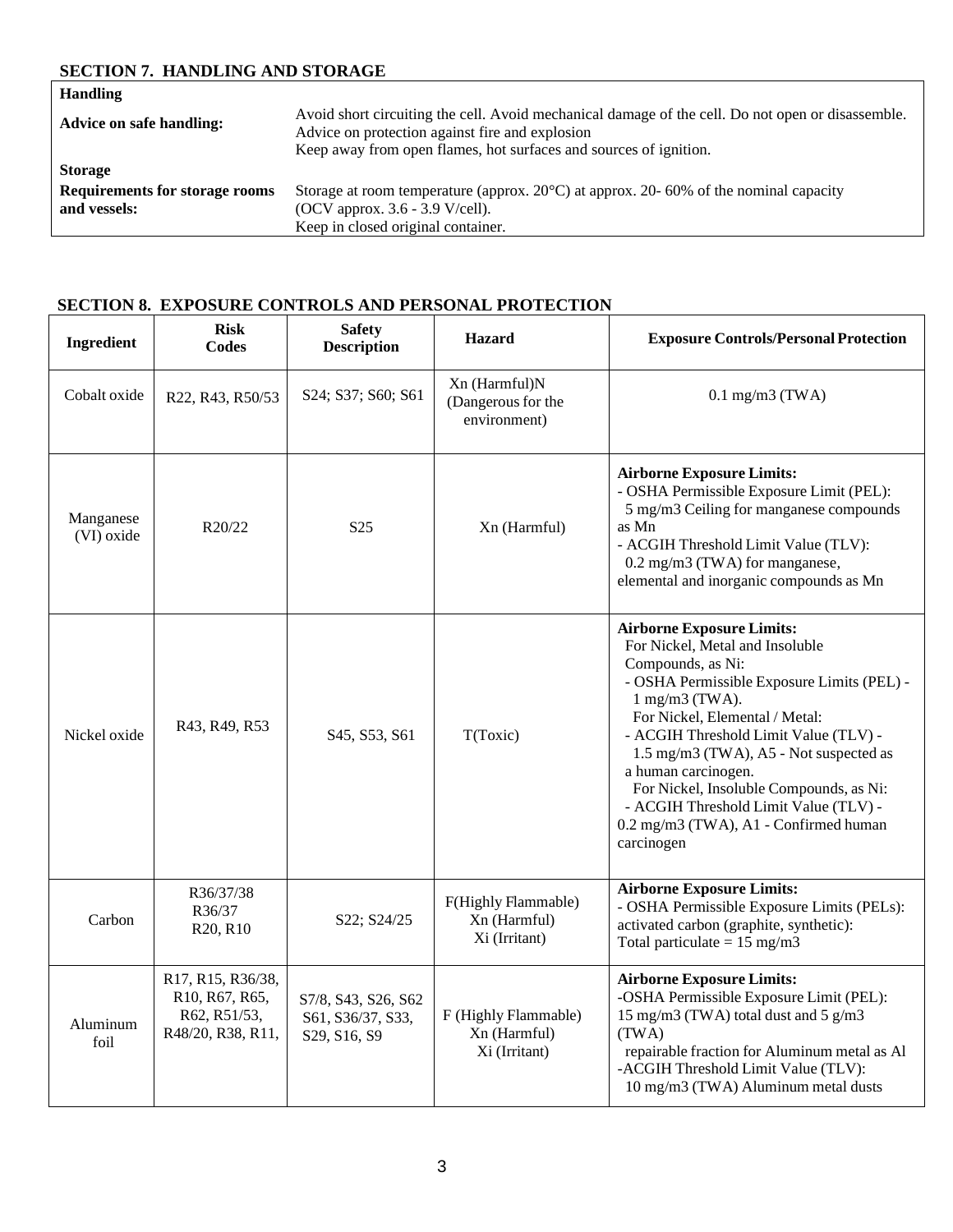# **SECTION 7. HANDLING AND STORAGE**

| <b>Handling</b>                       |                                                                                                                                                      |
|---------------------------------------|------------------------------------------------------------------------------------------------------------------------------------------------------|
| <b>Advice on safe handling:</b>       | Avoid short circuiting the cell. Avoid mechanical damage of the cell. Do not open or disassemble.<br>Advice on protection against fire and explosion |
|                                       | Keep away from open flames, hot surfaces and sources of ignition.                                                                                    |
| <b>Storage</b>                        |                                                                                                                                                      |
| <b>Requirements for storage rooms</b> | Storage at room temperature (approx. $20^{\circ}$ C) at approx. 20-60% of the nominal capacity                                                       |
| and vessels:                          | (OCV approx. $3.6 - 3.9$ V/cell).                                                                                                                    |
|                                       | Keep in closed original container.                                                                                                                   |

# **SECTION 8. EXPOSURE CONTROLS AND PERSONAL PROTECTION**

| Ingredient              | <b>Risk</b><br>Codes                                                     | <b>Safety</b><br><b>Description</b>                      | Hazard                                                | <b>Exposure Controls/Personal Protection</b>                                                                                                                                                                                                                                                                                                                                                                                                         |
|-------------------------|--------------------------------------------------------------------------|----------------------------------------------------------|-------------------------------------------------------|------------------------------------------------------------------------------------------------------------------------------------------------------------------------------------------------------------------------------------------------------------------------------------------------------------------------------------------------------------------------------------------------------------------------------------------------------|
| Cobalt oxide            | R22, R43, R50/53                                                         | S24; S37; S60; S61                                       | Xn (Harmful)N<br>(Dangerous for the<br>environment)   | $0.1$ mg/m $3$ (TWA)                                                                                                                                                                                                                                                                                                                                                                                                                                 |
| Manganese<br>(VI) oxide | R <sub>20</sub> /22                                                      | S <sub>25</sub>                                          | Xn (Harmful)                                          | <b>Airborne Exposure Limits:</b><br>- OSHA Permissible Exposure Limit (PEL):<br>5 mg/m3 Ceiling for manganese compounds<br>as Mn<br>- ACGIH Threshold Limit Value (TLV):<br>0.2 mg/m3 (TWA) for manganese,<br>elemental and inorganic compounds as Mn                                                                                                                                                                                                |
| Nickel oxide            | R43, R49, R53                                                            | S <sub>45</sub> , S <sub>53</sub> , S <sub>61</sub>      | T(Toxic)                                              | <b>Airborne Exposure Limits:</b><br>For Nickel, Metal and Insoluble<br>Compounds, as Ni:<br>- OSHA Permissible Exposure Limits (PEL) -<br>$1$ mg/m $3$ (TWA).<br>For Nickel, Elemental / Metal:<br>- ACGIH Threshold Limit Value (TLV) -<br>1.5 mg/m3 (TWA), A5 - Not suspected as<br>a human carcinogen.<br>For Nickel, Insoluble Compounds, as Ni:<br>- ACGIH Threshold Limit Value (TLV) -<br>0.2 mg/m3 (TWA), A1 - Confirmed human<br>carcinogen |
| Carbon                  | R36/37/38<br>R36/37<br>R <sub>20</sub> , R <sub>10</sub>                 | S22; S24/25                                              | F(Highly Flammable)<br>Xn (Harmful)<br>Xi (Irritant)  | <b>Airborne Exposure Limits:</b><br>- OSHA Permissible Exposure Limits (PELs):<br>activated carbon (graphite, synthetic):<br>Total particulate = $15 \text{ mg/m}$ 3                                                                                                                                                                                                                                                                                 |
| Aluminum<br>foil        | R17, R15, R36/38,<br>R10, R67, R65,<br>R62, R51/53,<br>R48/20, R38, R11, | S7/8, S43, S26, S62<br>S61, S36/37, S33,<br>S29, S16, S9 | F (Highly Flammable)<br>Xn (Harmful)<br>Xi (Irritant) | <b>Airborne Exposure Limits:</b><br>-OSHA Permissible Exposure Limit (PEL):<br>15 mg/m3 (TWA) total dust and 5 g/m3<br>(TWA)<br>repairable fraction for Aluminum metal as Al<br>-ACGIH Threshold Limit Value (TLV):<br>10 mg/m3 (TWA) Aluminum metal dusts                                                                                                                                                                                           |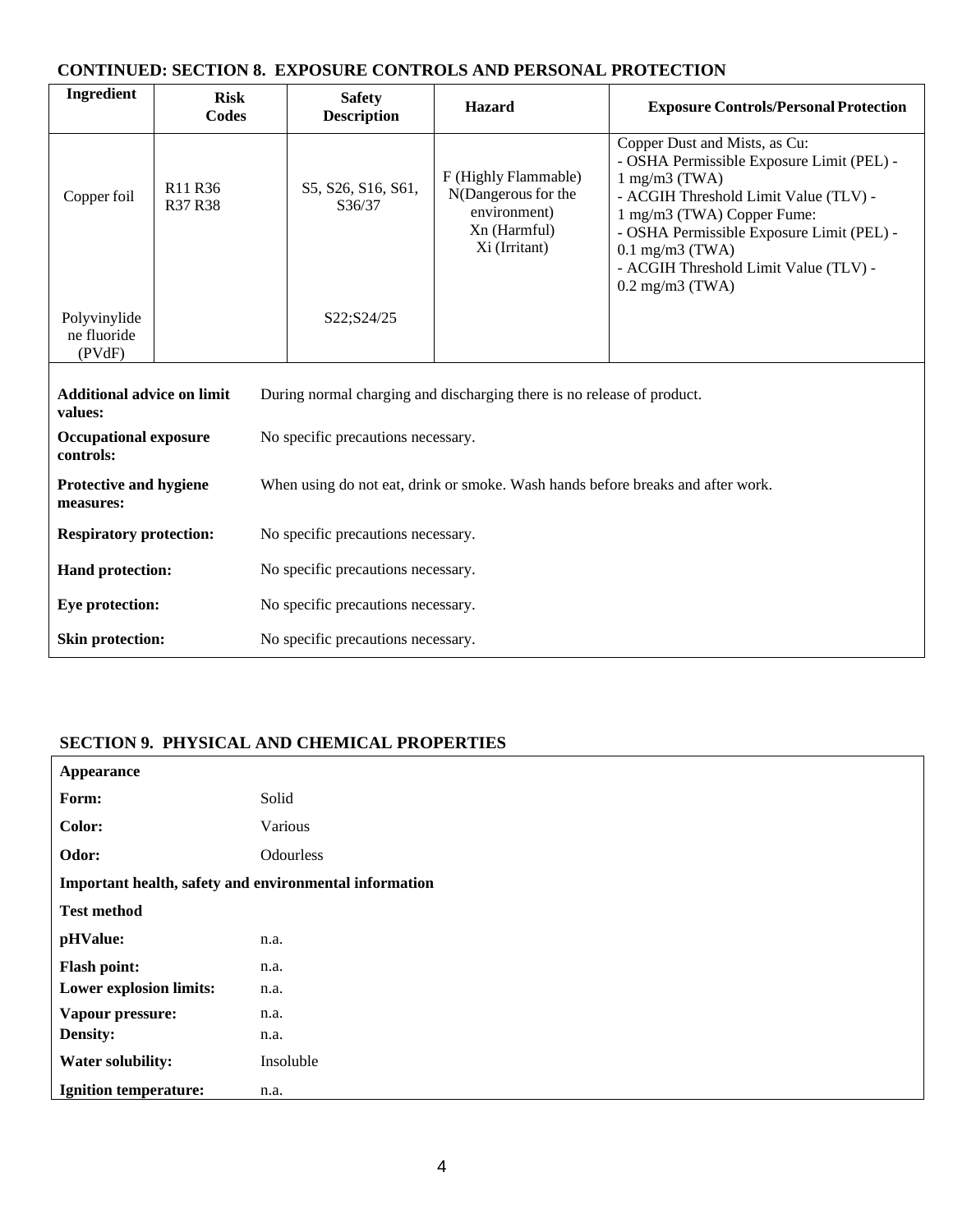# **CONTINUED: SECTION 8. EXPOSURE CONTROLS AND PERSONAL PROTECTION**

| Ingredient                                                                                                             | <b>Risk</b><br>Codes                                                                                             | <b>Safety</b><br><b>Description</b> | <b>Hazard</b>                                                                                | <b>Exposure Controls/Personal Protection</b>                                                                                                                                                                                                                                                                  |
|------------------------------------------------------------------------------------------------------------------------|------------------------------------------------------------------------------------------------------------------|-------------------------------------|----------------------------------------------------------------------------------------------|---------------------------------------------------------------------------------------------------------------------------------------------------------------------------------------------------------------------------------------------------------------------------------------------------------------|
| Copper foil                                                                                                            | R <sub>11</sub> R <sub>36</sub><br>R37 R38                                                                       | S5, S26, S16, S61,<br>S36/37        | F (Highly Flammable)<br>N(Dangerous for the<br>environment)<br>Xn (Harmful)<br>Xi (Irritant) | Copper Dust and Mists, as Cu:<br>- OSHA Permissible Exposure Limit (PEL) -<br>$1$ mg/m $3$ (TWA)<br>- ACGIH Threshold Limit Value (TLV) -<br>1 mg/m3 (TWA) Copper Fume:<br>- OSHA Permissible Exposure Limit (PEL) -<br>$0.1$ mg/m $3$ (TWA)<br>- ACGIH Threshold Limit Value (TLV) -<br>$0.2$ mg/m $3$ (TWA) |
| Polyvinylide<br>ne fluoride<br>(PVdF)                                                                                  |                                                                                                                  | S22;S24/25                          |                                                                                              |                                                                                                                                                                                                                                                                                                               |
| <b>Additional advice on limit</b><br>During normal charging and discharging there is no release of product.<br>values: |                                                                                                                  |                                     |                                                                                              |                                                                                                                                                                                                                                                                                                               |
| <b>Occupational exposure</b><br>controls:                                                                              |                                                                                                                  | No specific precautions necessary.  |                                                                                              |                                                                                                                                                                                                                                                                                                               |
| measures:                                                                                                              | <b>Protective and hygiene</b><br>When using do not eat, drink or smoke. Wash hands before breaks and after work. |                                     |                                                                                              |                                                                                                                                                                                                                                                                                                               |
| <b>Respiratory protection:</b><br>No specific precautions necessary.                                                   |                                                                                                                  |                                     |                                                                                              |                                                                                                                                                                                                                                                                                                               |
| Hand protection:                                                                                                       | No specific precautions necessary.                                                                               |                                     |                                                                                              |                                                                                                                                                                                                                                                                                                               |
|                                                                                                                        | <b>Eye protection:</b><br>No specific precautions necessary.                                                     |                                     |                                                                                              |                                                                                                                                                                                                                                                                                                               |
| <b>Skin protection:</b>                                                                                                |                                                                                                                  | No specific precautions necessary.  |                                                                                              |                                                                                                                                                                                                                                                                                                               |

# **SECTION 9. PHYSICAL AND CHEMICAL PROPERTIES**

| Appearance                                             |           |
|--------------------------------------------------------|-----------|
| Form:                                                  | Solid     |
| Color:                                                 | Various   |
| Odor:                                                  | Odourless |
| Important health, safety and environmental information |           |
| <b>Test method</b>                                     |           |
| pHValue:                                               | n.a.      |
| <b>Flash point:</b>                                    | n.a.      |
| <b>Lower explosion limits:</b>                         | n.a.      |
| Vapour pressure:                                       | n.a.      |
| Density:                                               | n.a.      |
| <b>Water solubility:</b>                               | Insoluble |
| <b>Ignition temperature:</b>                           | n.a.      |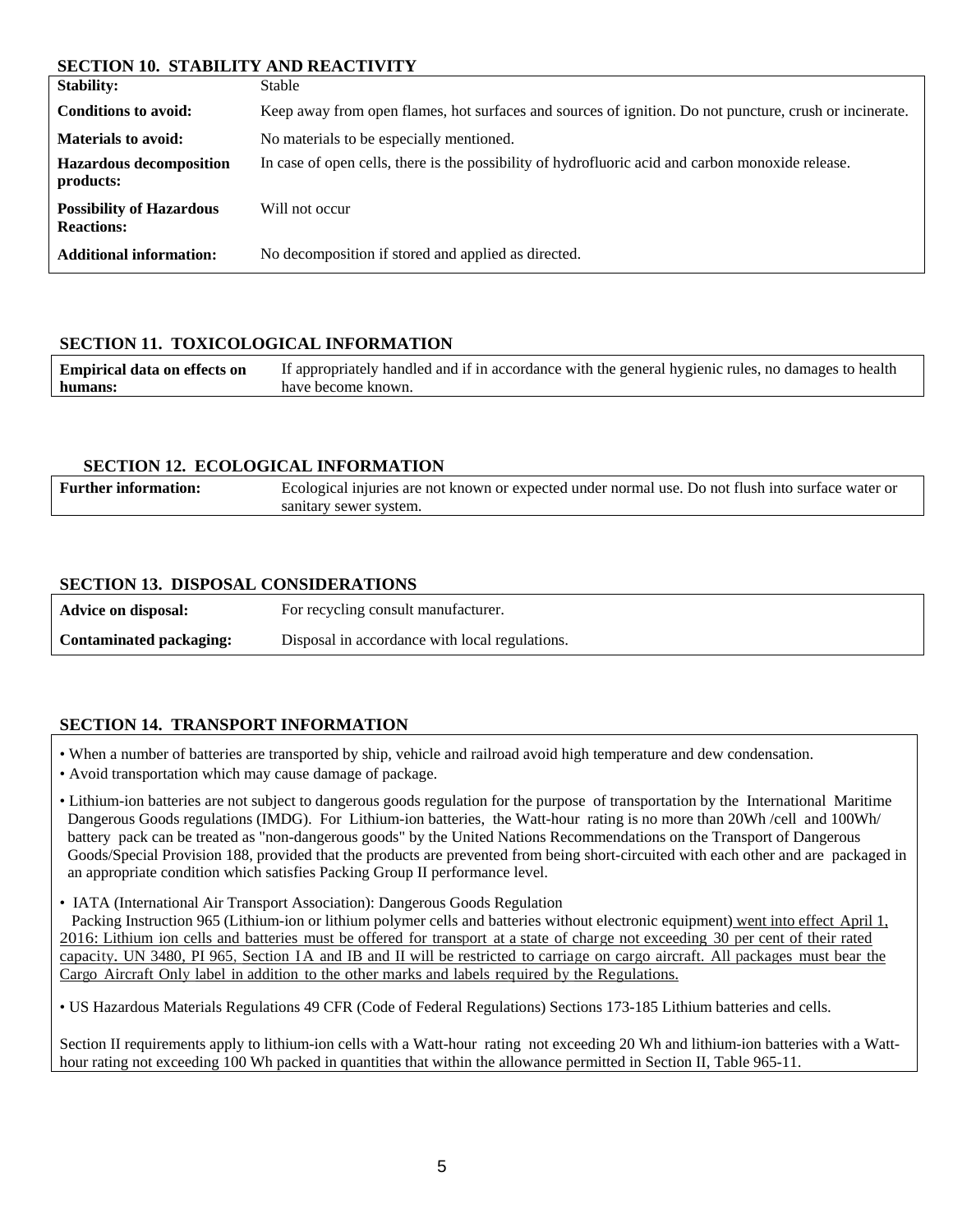#### **SECTION 10. STABILITY AND REACTIVITY**

| <u>DDCIION IW DINDIDII I MW NDNOII YII J</u>                                                            |
|---------------------------------------------------------------------------------------------------------|
| Stable                                                                                                  |
| Keep away from open flames, hot surfaces and sources of ignition. Do not puncture, crush or incinerate. |
| No materials to be especially mentioned.                                                                |
| In case of open cells, there is the possibility of hydrofluoric acid and carbon monoxide release.       |
| Will not occur                                                                                          |
| No decomposition if stored and applied as directed.                                                     |
|                                                                                                         |

## **SECTION 11. TOXICOLOGICAL INFORMATION**

| <b>Empirical data on effects on</b> | If appropriately handled and if in accordance with the general hygienic rules, no damages to health |
|-------------------------------------|-----------------------------------------------------------------------------------------------------|
| humans:                             | have become known.                                                                                  |

#### **SECTION 12. ECOLOGICAL INFORMATION**

| <b>Further information:</b> | Ecological injuries are not known or expected under normal use. Do not flush into surface water or |
|-----------------------------|----------------------------------------------------------------------------------------------------|
|                             | sanitary sewer system.                                                                             |

## **SECTION 13. DISPOSAL CONSIDERATIONS**

| Advice on disposal:     | For recycling consult manufacturer.            |
|-------------------------|------------------------------------------------|
| Contaminated packaging: | Disposal in accordance with local regulations. |

# **SECTION 14. TRANSPORT INFORMATION**

• When a number of batteries are transported by ship, vehicle and railroad avoid high temperature and dew condensation.

- Avoid transportation which may cause damage of package.
- Lithium-ion batteries are not subject to dangerous goods regulation for the purpose of transportation by the International Maritime Dangerous Goods regulations (IMDG). For Lithium-ion batteries, the Watt-hour rating is no more than 20Wh /cell and 100Wh/ battery pack can be treated as "non-dangerous goods" by the United Nations Recommendations on the Transport of Dangerous Goods/Special Provision 188, provided that the products are prevented from being short-circuited with each other and are packaged in an appropriate condition which satisfies Packing Group II performance level.
- IATA (International Air Transport Association): Dangerous Goods Regulation

 Packing Instruction 965 (Lithium-ion or lithium polymer cells and batteries without electronic equipment) went into effect April 1, 2016: Lithium ion cells and batteries must be offered for transport at a state of charge not exceeding 30 per cent of their rated capacity. UN 3480, PI 965, Section I A and IB and II will be restricted to carriage on cargo aircraft. All packages must bear the Cargo Aircraft Only label in addition to the other marks and labels required by the Regulations.

• US Hazardous Materials Regulations 49 CFR (Code of Federal Regulations) Sections 173-185 Lithium batteries and cells.

Section II requirements apply to lithium-ion cells with a Watt-hour rating not exceeding 20 Wh and lithium-ion batteries with a Watthour rating not exceeding 100 Wh packed in quantities that within the allowance permitted in Section II, Table 965-11.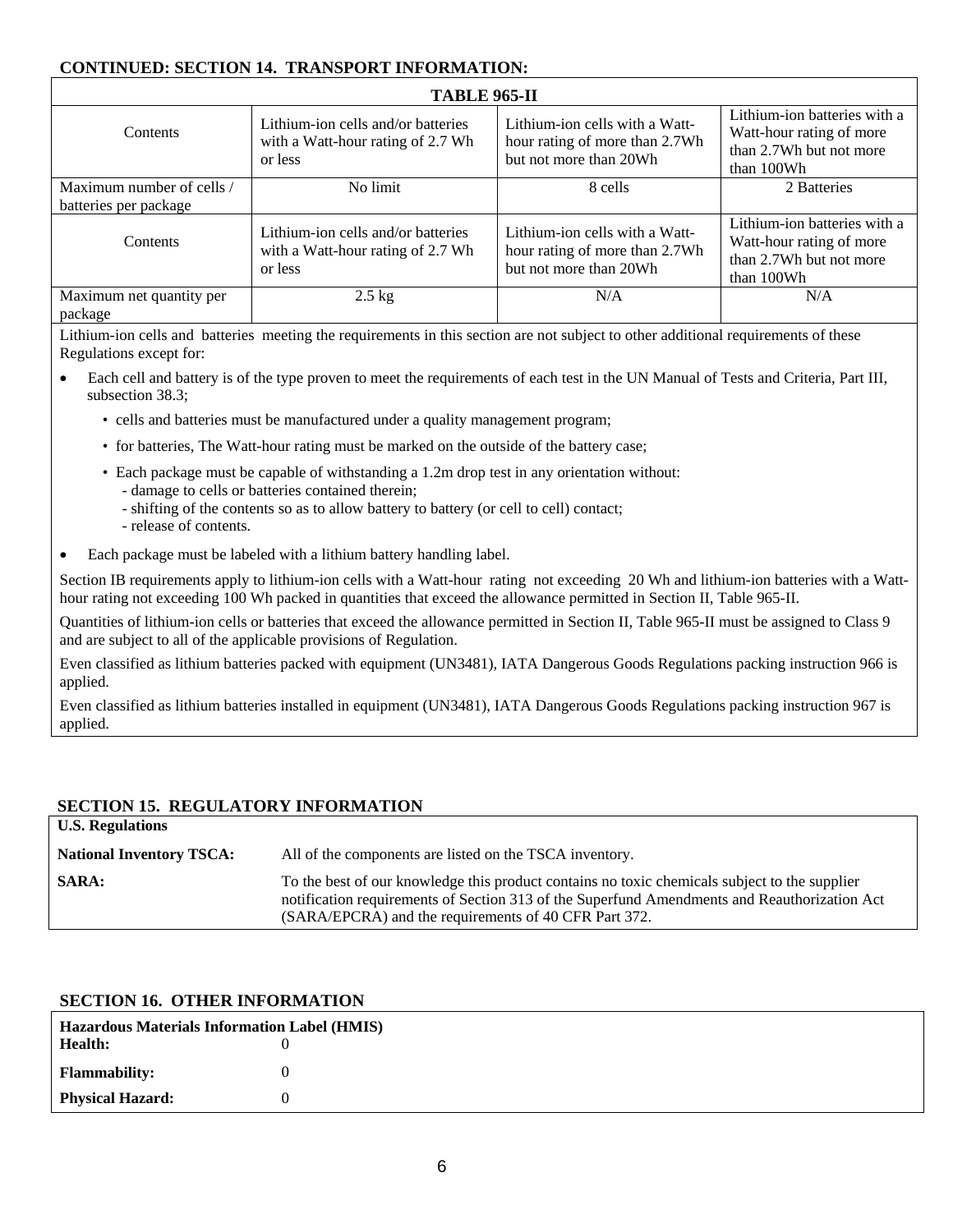# **CONTINUED: SECTION 14. TRANSPORT INFORMATION:**

| <b>TABLE 965-II</b>                                |                                                                                    |                                                                                            |                                                                                                   |
|----------------------------------------------------|------------------------------------------------------------------------------------|--------------------------------------------------------------------------------------------|---------------------------------------------------------------------------------------------------|
| Contents                                           | Lithium-ion cells and/or batteries<br>with a Watt-hour rating of 2.7 Wh<br>or less | Lithium-ion cells with a Watt-<br>hour rating of more than 2.7Wh<br>but not more than 20Wh | Lithium-ion batteries with a<br>Watt-hour rating of more<br>than 2.7Wh but not more<br>than 100Wh |
| Maximum number of cells /<br>batteries per package | No limit                                                                           | 8 cells                                                                                    | 2 Batteries                                                                                       |
| Contents                                           | Lithium-ion cells and/or batteries<br>with a Watt-hour rating of 2.7 Wh<br>or less | Lithium-ion cells with a Watt-<br>hour rating of more than 2.7Wh<br>but not more than 20Wh | Lithium-ion batteries with a<br>Watt-hour rating of more<br>than 2.7Wh but not more<br>than 100Wh |
| Maximum net quantity per<br>package                | $2.5 \text{ kg}$                                                                   | N/A                                                                                        | N/A                                                                                               |

Lithium-ion cells and batteries meeting the requirements in this section are not subject to other additional requirements of these Regulations except for:

- Each cell and battery is of the type proven to meet the requirements of each test in the UN Manual of Tests and Criteria, Part III, subsection 38.3;
	- cells and batteries must be manufactured under a quality management program;
	- for batteries, The Watt-hour rating must be marked on the outside of the battery case;
	- Each package must be capable of withstanding a 1.2m drop test in any orientation without:
		- damage to cells or batteries contained therein;
		- shifting of the contents so as to allow battery to battery (or cell to cell) contact;
		- release of contents.
- Each package must be labeled with a lithium battery handling label.

Section IB requirements apply to lithium-ion cells with a Watt-hour rating not exceeding 20 Wh and lithium-ion batteries with a Watthour rating not exceeding 100 Wh packed in quantities that exceed the allowance permitted in Section II, Table 965-II.

Quantities of lithium-ion cells or batteries that exceed the allowance permitted in Section II, Table 965-II must be assigned to Class 9 and are subject to all of the applicable provisions of Regulation.

Even classified as lithium batteries packed with equipment (UN3481), IATA Dangerous Goods Regulations packing instruction 966 is applied.

Even classified as lithium batteries installed in equipment (UN3481), IATA Dangerous Goods Regulations packing instruction 967 is applied.

#### **SECTION 15. REGULATORY INFORMATION**

| <b>U.S. Regulations</b>         |                                                                                                                                                                                                                                                        |
|---------------------------------|--------------------------------------------------------------------------------------------------------------------------------------------------------------------------------------------------------------------------------------------------------|
| <b>National Inventory TSCA:</b> | All of the components are listed on the TSCA inventory.                                                                                                                                                                                                |
| <b>SARA:</b>                    | To the best of our knowledge this product contains no toxic chemicals subject to the supplier<br>notification requirements of Section 313 of the Superfund Amendments and Reauthorization Act<br>(SARA/EPCRA) and the requirements of 40 CFR Part 372. |

#### **SECTION 16. OTHER INFORMATION**

| <b>Hazardous Materials Information Label (HMIS)</b> |  |  |
|-----------------------------------------------------|--|--|
| <b>Health:</b>                                      |  |  |
| <b>Flammability:</b>                                |  |  |
| <b>Physical Hazard:</b>                             |  |  |